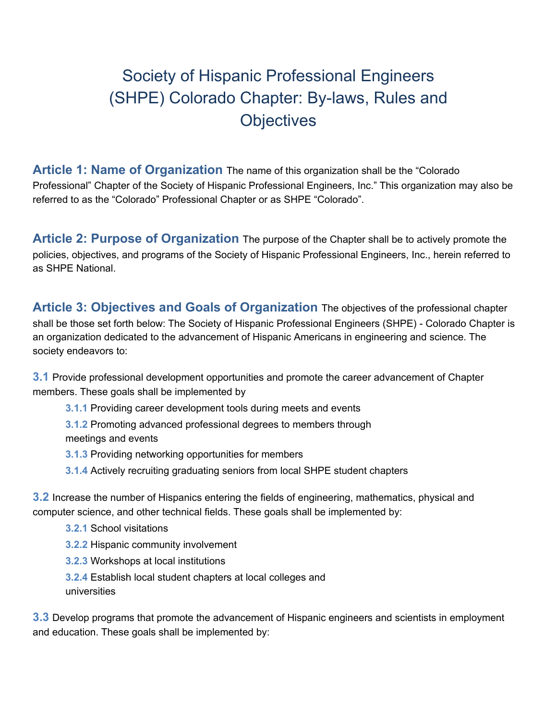# Society of Hispanic Professional Engineers (SHPE) Colorado Chapter: By-laws, Rules and **Objectives**

**Article 1: Name of Organization** The name of this organization shall be the "Colorado Professional" Chapter of the Society of Hispanic Professional Engineers, Inc." This organization may also be referred to as the "Colorado" Professional Chapter or as SHPE "Colorado".

**Article 2: Purpose of Organization** The purpose of the Chapter shall be to actively promote the policies, objectives, and programs of the Society of Hispanic Professional Engineers, Inc., herein referred to as SHPE National.

**Article 3: Objectives and Goals of Organization** The objectives of the professional chapter shall be those set forth below: The Society of Hispanic Professional Engineers (SHPE) - Colorado Chapter is an organization dedicated to the advancement of Hispanic Americans in engineering and science. The society endeavors to:

**3.1** Provide professional development opportunities and promote the career advancement of Chapter members. These goals shall be implemented by

**3.1.1** Providing career development tools during meets and events

**3.1.2** Promoting advanced professional degrees to members through meetings and events

- **3.1.3** Providing networking opportunities for members
- **3.1.4** Actively recruiting graduating seniors from local SHPE student chapters

**3.2** Increase the number of Hispanics entering the fields of engineering, mathematics, physical and computer science, and other technical fields. These goals shall be implemented by:

- **3.2.1** School visitations
- **3.2.2** Hispanic community involvement
- **3.2.3** Workshops at local institutions
- **3.2.4** Establish local student chapters at local colleges and universities

**3.3** Develop programs that promote the advancement of Hispanic engineers and scientists in employment and education. These goals shall be implemented by: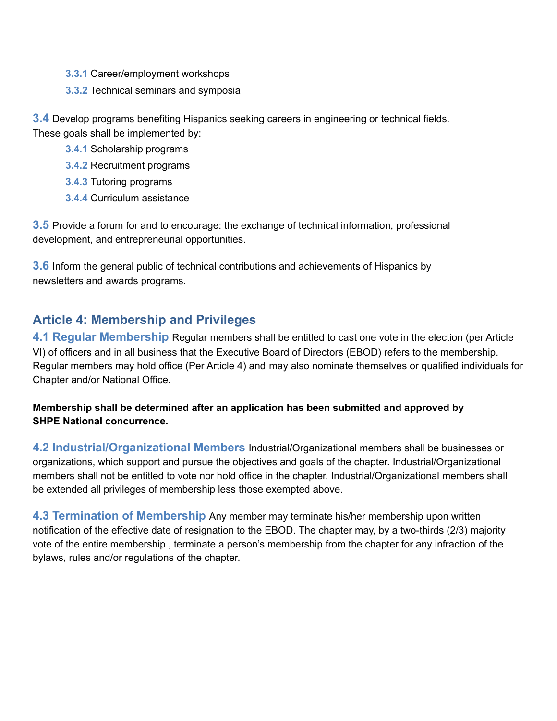- **3.3.1** Career/employment workshops
- **3.3.2** Technical seminars and symposia

**3.4** Develop programs benefiting Hispanics seeking careers in engineering or technical fields. These goals shall be implemented by:

- **3.4.1** Scholarship programs
- **3.4.2** Recruitment programs
- **3.4.3** Tutoring programs
- **3.4.4** Curriculum assistance

**3.5** Provide a forum for and to encourage: the exchange of technical information, professional development, and entrepreneurial opportunities.

**3.6** Inform the general public of technical contributions and achievements of Hispanics by newsletters and awards programs.

# **Article 4: Membership and Privileges**

**4.1 Regular Membership** Regular members shall be entitled to cast one vote in the election (per Article VI) of officers and in all business that the Executive Board of Directors (EBOD) refers to the membership. Regular members may hold office (Per Article 4) and may also nominate themselves or qualified individuals for Chapter and/or National Office.

### **Membership shall be determined after an application has been submitted and approved by SHPE National concurrence.**

**4.2 Industrial/Organizational Members** Industrial/Organizational members shall be businesses or organizations, which support and pursue the objectives and goals of the chapter. Industrial/Organizational members shall not be entitled to vote nor hold office in the chapter. Industrial/Organizational members shall be extended all privileges of membership less those exempted above.

**4.3 Termination of Membership** Any member may terminate his/her membership upon written notification of the effective date of resignation to the EBOD. The chapter may, by a two-thirds (2/3) majority vote of the entire membership , terminate a person's membership from the chapter for any infraction of the bylaws, rules and/or regulations of the chapter.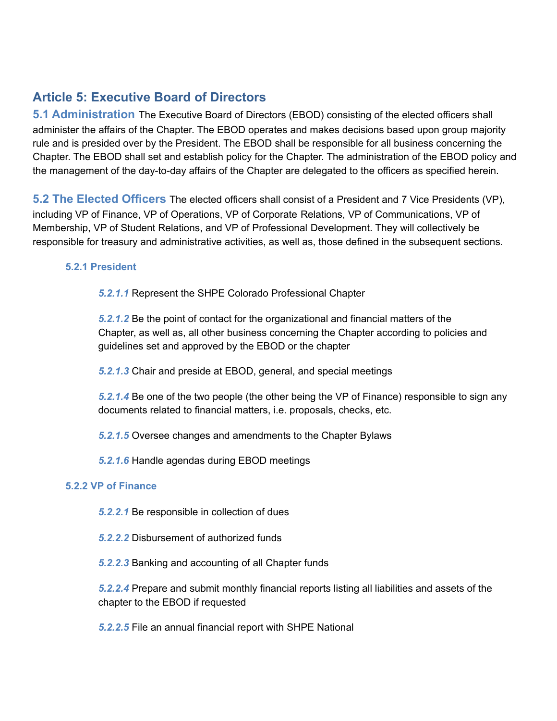# **Article 5: Executive Board of Directors**

**5.1 Administration** The Executive Board of Directors (EBOD) consisting of the elected officers shall administer the affairs of the Chapter. The EBOD operates and makes decisions based upon group majority rule and is presided over by the President. The EBOD shall be responsible for all business concerning the Chapter. The EBOD shall set and establish policy for the Chapter. The administration of the EBOD policy and the management of the day-to-day affairs of the Chapter are delegated to the officers as specified herein.

**5.2 The Elected Officers** The elected officers shall consist of a President and 7 Vice Presidents (VP), including VP of Finance, VP of Operations, VP of Corporate Relations, VP of Communications, VP of Membership, VP of Student Relations, and VP of Professional Development. They will collectively be responsible for treasury and administrative activities, as well as, those defined in the subsequent sections.

#### **5.2.1 President**

*5.2.1.1* Represent the SHPE Colorado Professional Chapter

*5.2.1.2* Be the point of contact for the organizational and financial matters of the Chapter, as well as, all other business concerning the Chapter according to policies and guidelines set and approved by the EBOD or the chapter

*5.2.1.3* Chair and preside at EBOD, general, and special meetings

*5.2.1.4* Be one of the two people (the other being the VP of Finance) responsible to sign any documents related to financial matters, i.e. proposals, checks, etc.

- *5.2.1.5* Oversee changes and amendments to the Chapter Bylaws
- *5.2.1.6* Handle agendas during EBOD meetings

#### **5.2.2 VP of Finance**

- *5.2.2.1* Be responsible in collection of dues
- *5.2.2.2* Disbursement of authorized funds
- *5.2.2.3* Banking and accounting of all Chapter funds

*5.2.2.4* Prepare and submit monthly financial reports listing all liabilities and assets of the chapter to the EBOD if requested

*5.2.2.5* File an annual financial report with SHPE National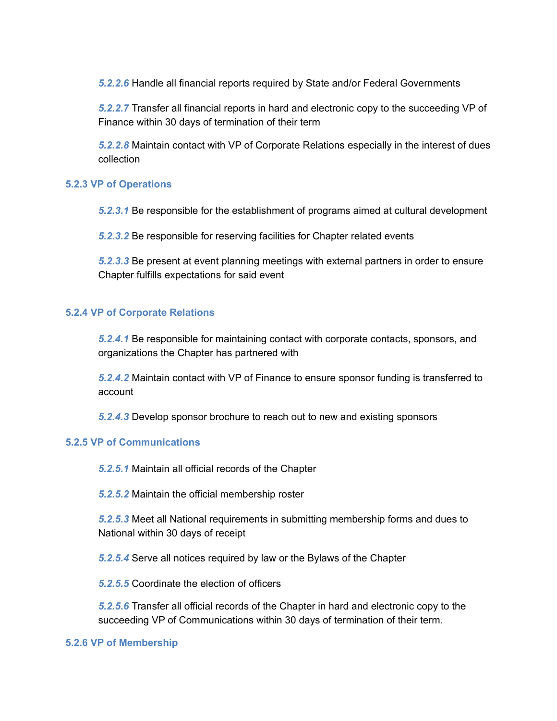*5.2.2.6* Handle all financial reports required by State and/or Federal Governments

*5.2.2.7* Transfer all financial reports in hard and electronic copy to the succeeding VP of Finance within 30 days of termination of their term

*5.2.2.8* Maintain contact with VP of Corporate Relations especially in the interest of dues collection

#### **5.2.3 VP of Operations**

*5.2.3.1* Be responsible for the establishment of programs aimed at cultural development

*5.2.3.2* Be responsible for reserving facilities for Chapter related events

*5.2.3.3* Be present at event planning meetings with external partners in order to ensure Chapter fulfills expectations for said event

#### **5.2.4 VP of Corporate Relations**

*5.2.4.1* Be responsible for maintaining contact with corporate contacts, sponsors, and organizations the Chapter has partnered with

*5.2.4.2* Maintain contact with VP of Finance to ensure sponsor funding is transferred to account

*5.2.4.3* Develop sponsor brochure to reach out to new and existing sponsors

#### **5.2.5 VP of Communications**

*5.2.5.1* Maintain all official records of the Chapter

*5.2.5.2* Maintain the official membership roster

*5.2.5.3* Meet all National requirements in submitting membership forms and dues to National within 30 days of receipt

*5.2.5.4* Serve all notices required by law or the Bylaws of the Chapter

*5.2.5.5* Coordinate the election of officers

*5.2.5.6* Transfer all official records of the Chapter in hard and electronic copy to the succeeding VP of Communications within 30 days of termination of their term.

#### **5.2.6 VP of Membership**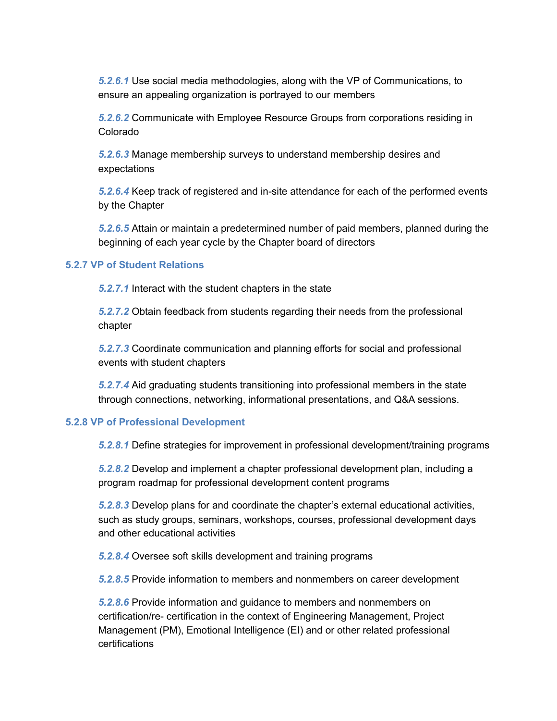*5.2.6.1* Use social media methodologies, along with the VP of Communications, to ensure an appealing organization is portrayed to our members

*5.2.6.2* Communicate with Employee Resource Groups from corporations residing in Colorado

*5.2.6.3* Manage membership surveys to understand membership desires and expectations

*5.2.6.4* Keep track of registered and in-site attendance for each of the performed events by the Chapter

*5.2.6.5* Attain or maintain a predetermined number of paid members, planned during the beginning of each year cycle by the Chapter board of directors

#### **5.2.7 VP of Student Relations**

*5.2.7.1* Interact with the student chapters in the state

*5.2.7.2* Obtain feedback from students regarding their needs from the professional chapter

*5.2.7.3* Coordinate communication and planning efforts for social and professional events with student chapters

*5.2.7.4* Aid graduating students transitioning into professional members in the state through connections, networking, informational presentations, and Q&A sessions.

#### **5.2.8 VP of Professional Development**

*5.2.8.1* Define strategies for improvement in professional development/training programs

*5.2.8.2* Develop and implement a chapter professional development plan, including a program roadmap for professional development content programs

*5.2.8.3* Develop plans for and coordinate the chapter's external educational activities, such as study groups, seminars, workshops, courses, professional development days and other educational activities

*5.2.8.4* Oversee soft skills development and training programs

*5.2.8.5* Provide information to members and nonmembers on career development

*5.2.8.6* Provide information and guidance to members and nonmembers on certification/re- certification in the context of Engineering Management, Project Management (PM), Emotional Intelligence (EI) and or other related professional certifications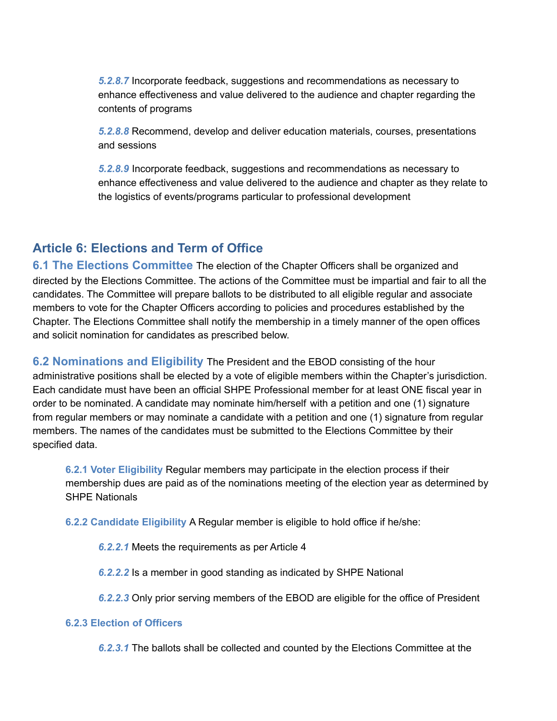*5.2.8.7* Incorporate feedback, suggestions and recommendations as necessary to enhance effectiveness and value delivered to the audience and chapter regarding the contents of programs

*5.2.8.8* Recommend, develop and deliver education materials, courses, presentations and sessions

*5.2.8.9* Incorporate feedback, suggestions and recommendations as necessary to enhance effectiveness and value delivered to the audience and chapter as they relate to the logistics of events/programs particular to professional development

# **Article 6: Elections and Term of Office**

**6.1 The Elections Committee** The election of the Chapter Officers shall be organized and directed by the Elections Committee. The actions of the Committee must be impartial and fair to all the candidates. The Committee will prepare ballots to be distributed to all eligible regular and associate members to vote for the Chapter Officers according to policies and procedures established by the Chapter. The Elections Committee shall notify the membership in a timely manner of the open offices and solicit nomination for candidates as prescribed below.

**6.2 Nominations and Eligibility** The President and the EBOD consisting of the hour administrative positions shall be elected by a vote of eligible members within the Chapter's jurisdiction. Each candidate must have been an official SHPE Professional member for at least ONE fiscal year in order to be nominated. A candidate may nominate him/herself with a petition and one (1) signature from regular members or may nominate a candidate with a petition and one (1) signature from regular members. The names of the candidates must be submitted to the Elections Committee by their specified data.

**6.2.1 Voter Eligibility** Regular members may participate in the election process if their membership dues are paid as of the nominations meeting of the election year as determined by SHPE Nationals

**6.2.2 Candidate Eligibility** A Regular member is eligible to hold office if he/she:

*6.2.2.1* Meets the requirements as per Article 4

*6.2.2.2* Is a member in good standing as indicated by SHPE National

*6.2.2.3* Only prior serving members of the EBOD are eligible for the office of President

#### **6.2.3 Election of Officers**

*6.2.3.1* The ballots shall be collected and counted by the Elections Committee at the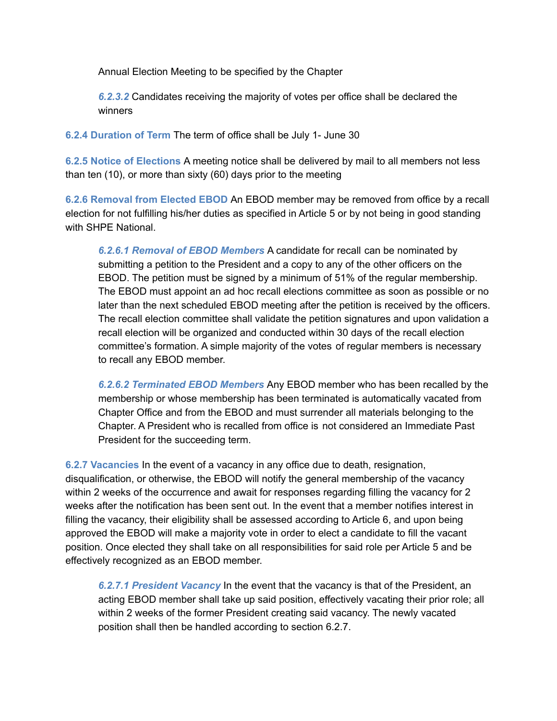Annual Election Meeting to be specified by the Chapter

*6.2.3.2* Candidates receiving the majority of votes per office shall be declared the winners

**6.2.4 Duration of Term** The term of office shall be July 1- June 30

**6.2.5 Notice of Elections** A meeting notice shall be delivered by mail to all members not less than ten (10), or more than sixty (60) days prior to the meeting

**6.2.6 Removal from Elected EBOD** An EBOD member may be removed from office by a recall election for not fulfilling his/her duties as specified in Article 5 or by not being in good standing with SHPE National.

*6.2.6.1 Removal of EBOD Members* A candidate for recall can be nominated by submitting a petition to the President and a copy to any of the other officers on the EBOD. The petition must be signed by a minimum of 51% of the regular membership. The EBOD must appoint an ad hoc recall elections committee as soon as possible or no later than the next scheduled EBOD meeting after the petition is received by the officers. The recall election committee shall validate the petition signatures and upon validation a recall election will be organized and conducted within 30 days of the recall election committee's formation. A simple majority of the votes of regular members is necessary to recall any EBOD member.

*6.2.6.2 Terminated EBOD Members* Any EBOD member who has been recalled by the membership or whose membership has been terminated is automatically vacated from Chapter Office and from the EBOD and must surrender all materials belonging to the Chapter. A President who is recalled from office is not considered an Immediate Past President for the succeeding term.

**6.2.7 Vacancies** In the event of a vacancy in any office due to death, resignation, disqualification, or otherwise, the EBOD will notify the general membership of the vacancy within 2 weeks of the occurrence and await for responses regarding filling the vacancy for 2 weeks after the notification has been sent out. In the event that a member notifies interest in filling the vacancy, their eligibility shall be assessed according to Article 6, and upon being approved the EBOD will make a majority vote in order to elect a candidate to fill the vacant position. Once elected they shall take on all responsibilities for said role per Article 5 and be effectively recognized as an EBOD member.

*6.2.7.1 President Vacancy* In the event that the vacancy is that of the President, an acting EBOD member shall take up said position, effectively vacating their prior role; all within 2 weeks of the former President creating said vacancy. The newly vacated position shall then be handled according to section 6.2.7.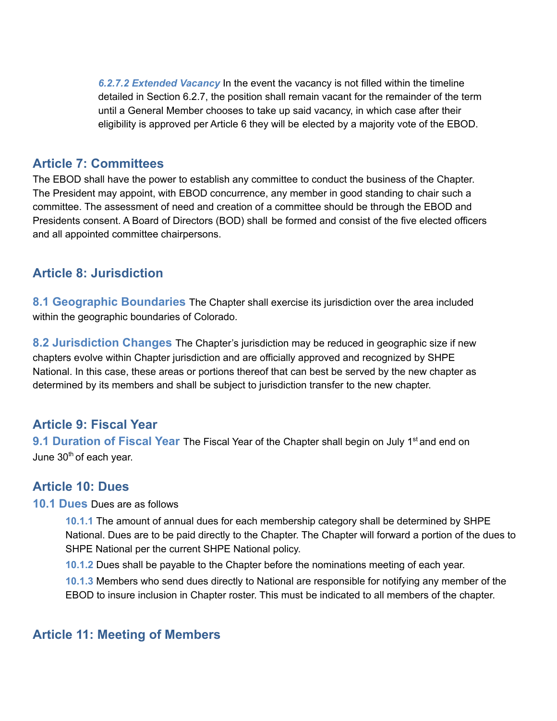*6.2.7.2 Extended Vacancy* In the event the vacancy is not filled within the timeline detailed in Section 6.2.7, the position shall remain vacant for the remainder of the term until a General Member chooses to take up said vacancy, in which case after their eligibility is approved per Article 6 they will be elected by a majority vote of the EBOD.

# **Article 7: Committees**

The EBOD shall have the power to establish any committee to conduct the business of the Chapter. The President may appoint, with EBOD concurrence, any member in good standing to chair such a committee. The assessment of need and creation of a committee should be through the EBOD and Presidents consent. A Board of Directors (BOD) shall be formed and consist of the five elected officers and all appointed committee chairpersons.

# **Article 8: Jurisdiction**

**8.1 Geographic Boundaries** The Chapter shall exercise its jurisdiction over the area included within the geographic boundaries of Colorado.

**8.2 Jurisdiction Changes** The Chapter's jurisdiction may be reduced in geographic size if new chapters evolve within Chapter jurisdiction and are officially approved and recognized by SHPE National. In this case, these areas or portions thereof that can best be served by the new chapter as determined by its members and shall be subject to jurisdiction transfer to the new chapter.

# **Article 9: Fiscal Year**

**9.1 Duration of Fiscal Year** The Fiscal Year of the Chapter shall begin on July 1<sup>st</sup> and end on June 30<sup>th</sup> of each year.

# **Article 10: Dues**

**10.1 Dues** Dues are as follows

**10.1.1** The amount of annual dues for each membership category shall be determined by SHPE National. Dues are to be paid directly to the Chapter. The Chapter will forward a portion of the dues to SHPE National per the current SHPE National policy.

**10.1.2** Dues shall be payable to the Chapter before the nominations meeting of each year.

**10.1.3** Members who send dues directly to National are responsible for notifying any member of the EBOD to insure inclusion in Chapter roster. This must be indicated to all members of the chapter.

# **Article 11: Meeting of Members**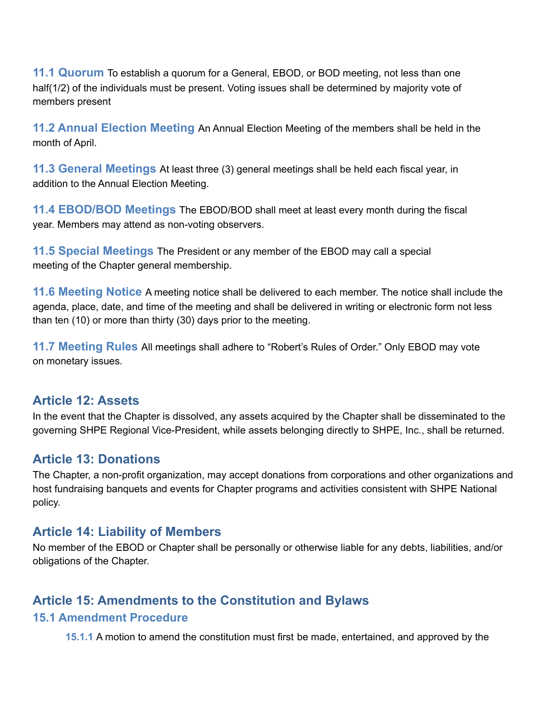**11.1 Quorum** To establish a quorum for a General, EBOD, or BOD meeting, not less than one half(1/2) of the individuals must be present. Voting issues shall be determined by majority vote of members present

**11.2 Annual Election Meeting** An Annual Election Meeting of the members shall be held in the month of April.

**11.3 General Meetings** At least three (3) general meetings shall be held each fiscal year, in addition to the Annual Election Meeting.

**11.4 EBOD/BOD Meetings** The EBOD/BOD shall meet at least every month during the fiscal year. Members may attend as non-voting observers.

**11.5 Special Meetings** The President or any member of the EBOD may call a special meeting of the Chapter general membership.

**11.6 Meeting Notice** A meeting notice shall be delivered to each member. The notice shall include the agenda, place, date, and time of the meeting and shall be delivered in writing or electronic form not less than ten (10) or more than thirty (30) days prior to the meeting.

**11.7 Meeting Rules** All meetings shall adhere to "Robert's Rules of Order." Only EBOD may vote on monetary issues.

### **Article 12: Assets**

In the event that the Chapter is dissolved, any assets acquired by the Chapter shall be disseminated to the governing SHPE Regional Vice-President, while assets belonging directly to SHPE, Inc., shall be returned.

# **Article 13: Donations**

The Chapter, a non-profit organization, may accept donations from corporations and other organizations and host fundraising banquets and events for Chapter programs and activities consistent with SHPE National policy.

### **Article 14: Liability of Members**

No member of the EBOD or Chapter shall be personally or otherwise liable for any debts, liabilities, and/or obligations of the Chapter.

# **Article 15: Amendments to the Constitution and Bylaws**

### **15.1 Amendment Procedure**

**15.1.1** A motion to amend the constitution must first be made, entertained, and approved by the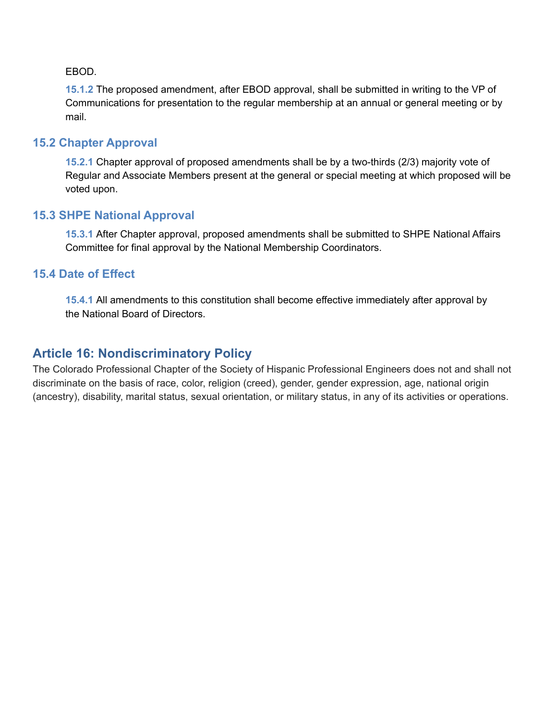EBOD.

**15.1.2** The proposed amendment, after EBOD approval, shall be submitted in writing to the VP of Communications for presentation to the regular membership at an annual or general meeting or by mail.

### **15.2 Chapter Approval**

**15.2.1** Chapter approval of proposed amendments shall be by a two-thirds (2/3) majority vote of Regular and Associate Members present at the general or special meeting at which proposed will be voted upon.

### **15.3 SHPE National Approval**

**15.3.1** After Chapter approval, proposed amendments shall be submitted to SHPE National Affairs Committee for final approval by the National Membership Coordinators.

### **15.4 Date of Effect**

**15.4.1** All amendments to this constitution shall become effective immediately after approval by the National Board of Directors.

# **Article 16: Nondiscriminatory Policy**

The Colorado Professional Chapter of the Society of Hispanic Professional Engineers does not and shall not discriminate on the basis of race, color, religion (creed), gender, gender expression, age, national origin (ancestry), disability, marital status, sexual orientation, or military status, in any of its activities or operations.